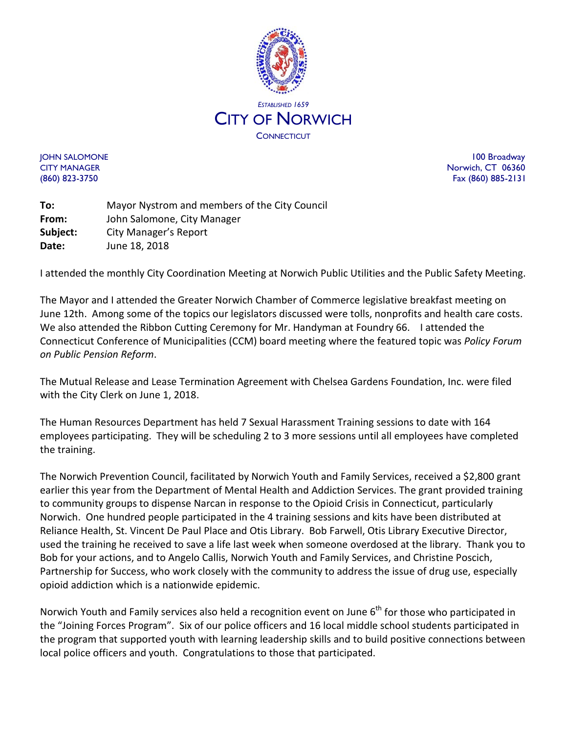

JOHN SALOMONE 100 Broadway CITY MANAGER Norwich, CT 06360 (860) 823-3750 Fax (860) 885-2131

**To:** Mayor Nystrom and members of the City Council **From:** John Salomone, City Manager **Subject:** City Manager's Report **Date:** June 18, 2018

I attended the monthly City Coordination Meeting at Norwich Public Utilities and the Public Safety Meeting.

The Mayor and I attended the Greater Norwich Chamber of Commerce legislative breakfast meeting on June 12th. Among some of the topics our legislators discussed were tolls, nonprofits and health care costs. We also attended the Ribbon Cutting Ceremony for Mr. Handyman at Foundry 66. I attended the Connecticut Conference of Municipalities (CCM) board meeting where the featured topic was *Policy Forum on Public Pension Reform*.

The Mutual Release and Lease Termination Agreement with Chelsea Gardens Foundation, Inc. were filed with the City Clerk on June 1, 2018.

The Human Resources Department has held 7 Sexual Harassment Training sessions to date with 164 employees participating. They will be scheduling 2 to 3 more sessions until all employees have completed the training.

The Norwich Prevention Council, facilitated by Norwich Youth and Family Services, received a \$2,800 grant earlier this year from the Department of Mental Health and Addiction Services. The grant provided training to community groups to dispense Narcan in response to the Opioid Crisis in Connecticut, particularly Norwich. One hundred people participated in the 4 training sessions and kits have been distributed at Reliance Health, St. Vincent De Paul Place and Otis Library. Bob Farwell, Otis Library Executive Director, used the training he received to save a life last week when someone overdosed at the library. Thank you to Bob for your actions, and to Angelo Callis, Norwich Youth and Family Services, and Christine Poscich, Partnership for Success, who work closely with the community to address the issue of drug use, especially opioid addiction which is a nationwide epidemic.

Norwich Youth and Family services also held a recognition event on June 6<sup>th</sup> for those who participated in the "Joining Forces Program". Six of our police officers and 16 local middle school students participated in the program that supported youth with learning leadership skills and to build positive connections between local police officers and youth. Congratulations to those that participated.